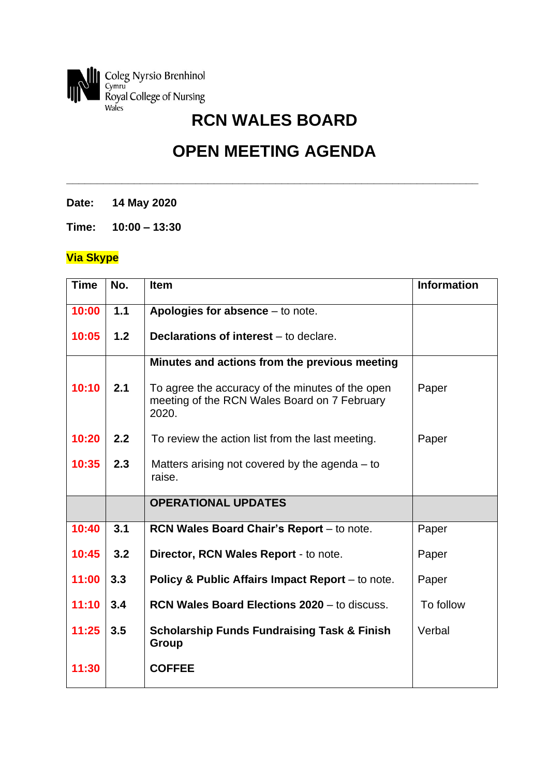

## **OPEN MEETING AGENDA**

**\_\_\_\_\_\_\_\_\_\_\_\_\_\_\_\_\_\_\_\_\_\_\_\_\_\_\_\_\_\_\_\_\_\_\_\_\_\_\_\_\_\_\_\_\_\_\_\_\_\_\_\_\_\_\_\_\_\_\_\_\_\_\_\_\_\_\_**

**Date: 14 May 2020**

**Time: 10:00 – 13:30**

## **Via Skype**

| <b>Time</b> | No. | <b>Item</b>                                                                                               | <b>Information</b> |
|-------------|-----|-----------------------------------------------------------------------------------------------------------|--------------------|
| 10:00       | 1.1 | Apologies for absence $-$ to note.                                                                        |                    |
| 10:05       | 1.2 | <b>Declarations of interest</b> – to declare.                                                             |                    |
|             |     | Minutes and actions from the previous meeting                                                             |                    |
| 10:10       | 2.1 | To agree the accuracy of the minutes of the open<br>meeting of the RCN Wales Board on 7 February<br>2020. | Paper              |
| 10:20       | 2.2 | To review the action list from the last meeting.                                                          | Paper              |
| 10:35       | 2.3 | Matters arising not covered by the agenda $-$ to<br>raise.                                                |                    |
|             |     | <b>OPERATIONAL UPDATES</b>                                                                                |                    |
| 10:40       | 3.1 | RCN Wales Board Chair's Report - to note.                                                                 | Paper              |
| 10:45       | 3.2 | Director, RCN Wales Report - to note.                                                                     | Paper              |
| 11:00       | 3.3 | Policy & Public Affairs Impact Report – to note.                                                          | Paper              |
| 11:10       | 3.4 | <b>RCN Wales Board Elections 2020 - to discuss.</b>                                                       | To follow          |
| 11:25       | 3.5 | <b>Scholarship Funds Fundraising Task &amp; Finish</b><br>Group                                           | Verbal             |
| 11:30       |     | <b>COFFEE</b>                                                                                             |                    |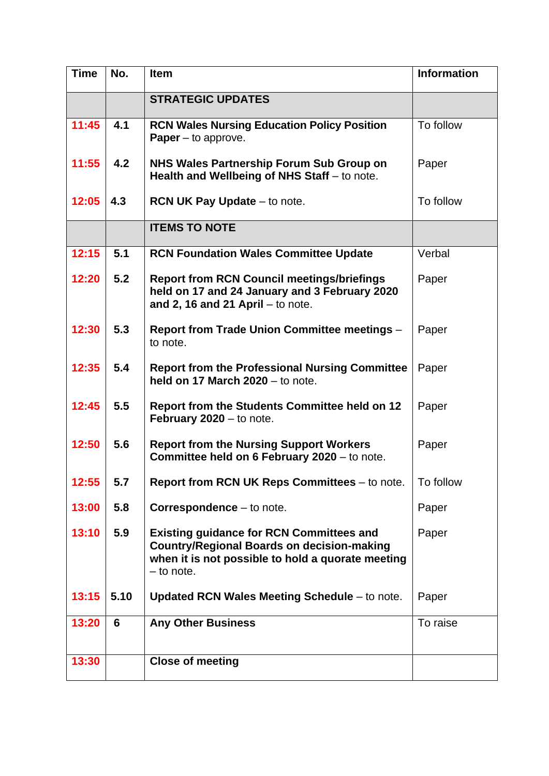| <b>Time</b> | No.  | <b>Item</b>                                                                                                                                                               | <b>Information</b> |
|-------------|------|---------------------------------------------------------------------------------------------------------------------------------------------------------------------------|--------------------|
|             |      | <b>STRATEGIC UPDATES</b>                                                                                                                                                  |                    |
| 11:45       | 4.1  | <b>RCN Wales Nursing Education Policy Position</b><br><b>Paper</b> $-$ to approve.                                                                                        | To follow          |
| 11:55       | 4.2  | NHS Wales Partnership Forum Sub Group on<br>Health and Wellbeing of NHS Staff - to note.                                                                                  | Paper              |
| 12:05       | 4.3  | <b>RCN UK Pay Update – to note.</b>                                                                                                                                       | To follow          |
|             |      | <b>ITEMS TO NOTE</b>                                                                                                                                                      |                    |
| 12:15       | 5.1  | <b>RCN Foundation Wales Committee Update</b>                                                                                                                              | Verbal             |
| 12:20       | 5.2  | <b>Report from RCN Council meetings/briefings</b><br>held on 17 and 24 January and 3 February 2020<br>and 2, 16 and 21 April $-$ to note.                                 | Paper              |
| 12:30       | 5.3  | <b>Report from Trade Union Committee meetings -</b><br>to note.                                                                                                           | Paper              |
| 12:35       | 5.4  | <b>Report from the Professional Nursing Committee</b><br>held on 17 March $2020 -$ to note.                                                                               | Paper              |
| 12:45       | 5.5  | <b>Report from the Students Committee held on 12</b><br><b>February 2020</b> $-$ to note.                                                                                 | Paper              |
| 12:50       | 5.6  | <b>Report from the Nursing Support Workers</b><br><b>Committee held on 6 February 2020</b> – to note.                                                                     | Paper              |
| 12:55       | 5.7  | Report from RCN UK Reps Committees - to note.                                                                                                                             | To follow          |
| 13:00       | 5.8  | Correspondence - to note.                                                                                                                                                 | Paper              |
| 13:10       | 5.9  | <b>Existing guidance for RCN Committees and</b><br><b>Country/Regional Boards on decision-making</b><br>when it is not possible to hold a quorate meeting<br>$-$ to note. | Paper              |
| 13:15       | 5.10 | Updated RCN Wales Meeting Schedule - to note.                                                                                                                             | Paper              |
| 13:20       | 6    | <b>Any Other Business</b>                                                                                                                                                 | To raise           |
| 13:30       |      | <b>Close of meeting</b>                                                                                                                                                   |                    |